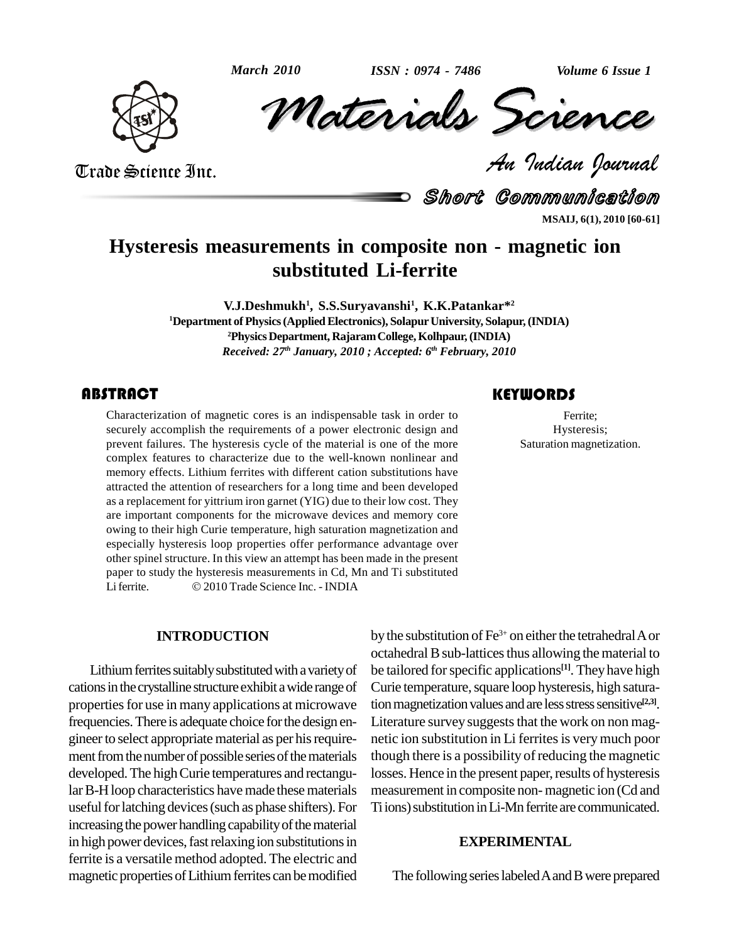

Volume 6 Issue 1<br> **CREARCE**<br> *Padian Pournal He 2010* ISSN: 0974 - 7486 Volume 6 Issue 1

Trade Science Inc. Trade Science Inc.

Short Communication **MSAIJ, 6(1), 2010 [60-61]**

# **Hysteresis measurements in composite non - magnetic ion substituted Li-ferrite**

**V.J.Deshmukh 1 , S.S.Suryavanshi<sup>1</sup> , K.K.Patankar\* 2 <sup>1</sup>Department ofPhysics(AppliedElectronics), SolapurUniversity, Solapur,(INDIA) <sup>2</sup>Physics Department, RajaramCollege,Kolhpaur,(INDIA)** *Received: 27 th January, 2010 ; Accepted: 6 th February, 2010*

## **ABSTRACT**

Characterization of magnetic cores is an indispensable task in order to<br>securely accomplish the requirements of a power electronic design and<br>prevent failures. The hysteresis cycle of the material is one of the more<br>sturat Characterization of magnetic cores is an indispensable task in order to securely accomplish the requirements of a power electronic design and prevent failures. The hysteresis cycle of the material is one of the more complex features to characterize due to the well-known nonlinear and memory effects. Lithium ferrites with different cation substitutions have attracted the attention of researchers for a long time and been developed as a replacement for yittrium iron garnet (YIG) due to their low cost. They are important components for the microwave devices and memory core owing to their high Curie temperature, high saturation magnetization and especially hysteresis loop properties offer performance advantage over other spinel structure. In this view an attempt has been made in the present<br>paper to study the hysteresis measurements in Cd, Mn and Ti substituted<br>Li ferrite. © 2010 Trade Science Inc. - INDIA paper to study the hysteresis measurements in Cd, Mn and Ti substituted<br>Liferrite. © 2010 Trade Science Inc. - INDIA

#### **INTRODUCTION**

Lithium ferrites suitably substituted with a variety of cations in the crystalline structure exhibit a wide range of properties for use in many applications at microwave frequencies.There is adequate choice forthe design en gineer to select appropriate material as per his requirement from the number of possible series of the materials developed. The high Curie temperatures and rectangular B-H loop characteristics have made these materials useful for latching devices (such as phase shifters). For increasing the power handling capability of the material in high power devices, fast relaxing ion substitutions in ferrite is a versatile method adopted. The electric and magnetic properties of Lithium ferrites can be modified **KEYWORDS** Ferrite;

Hysteresis; Saturation magnetization.

by the substitution of  $\rm Fe^{3+}$  on either the tetrahedral A or octahedral B sub-lattices thus allowing the material to be tailored for specific applications<sup>[1]</sup>. They have high Curie temperature, square loop hysteresis, high saturation magnetization values and are less stress sensitive<sup>[2,3]</sup>. Literature survey suggests that the work on non magnetic ion substitution in Li ferrites is very much poor though there is a possibility of reducing the magnetic losses. Hence in the present paper, results of hysteresis measurement in composite non-magnetic ion (Cd and Ti ions) substitution in Li-Mn ferrite are communicated.

### **EXPERIMENTAL**

The following series labeled A and B were prepared